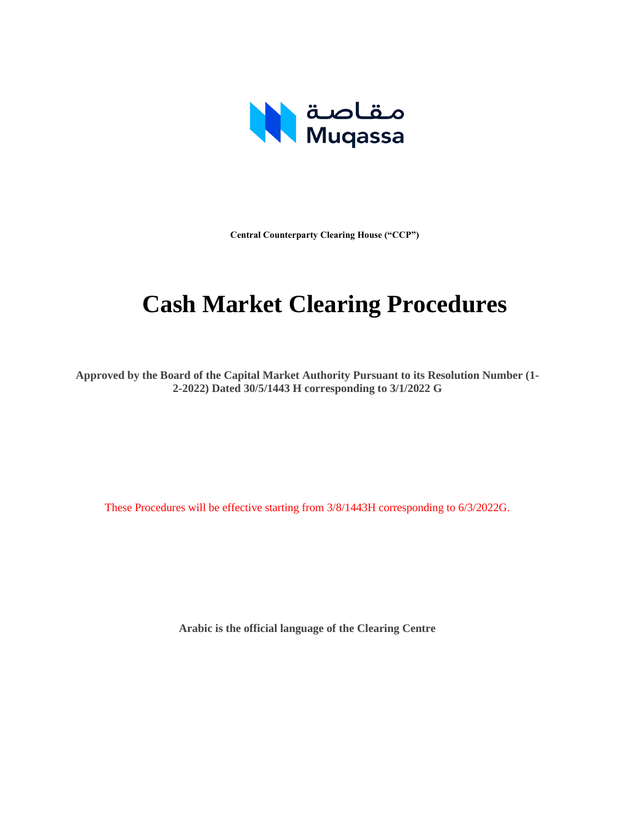

**Central Counterparty Clearing House ("CCP")**

# **Cash Market Clearing Procedures**

**Approved by the Board of the Capital Market Authority Pursuant to its Resolution Number (1- 2-2022) Dated 30/5/1443 H corresponding to 3/1/2022 G**

These Procedures will be effective starting from 3/8/1443H corresponding to 6/3/2022G.

**Arabic is the official language of the Clearing Centre**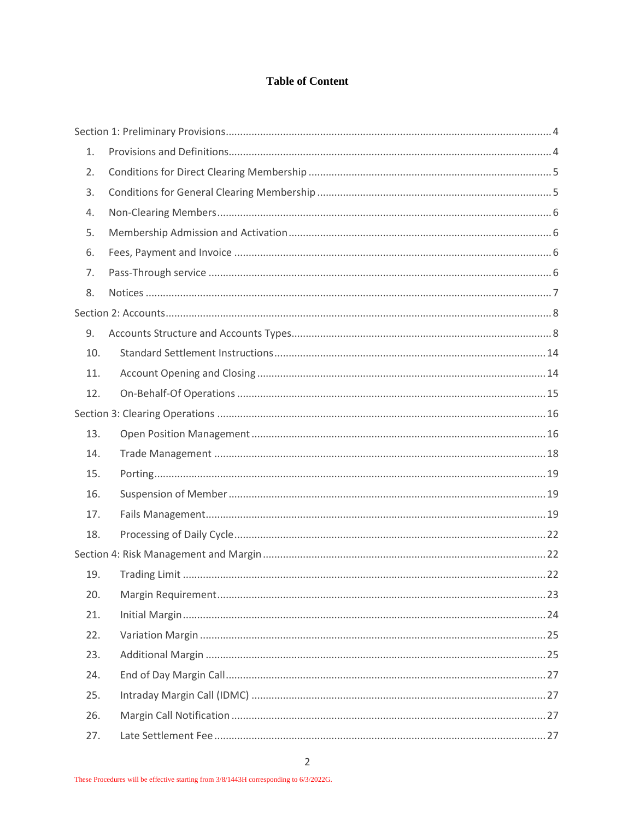#### **Table of Content**

| $\mathbf{1}$ . |  |
|----------------|--|
| 2.             |  |
| 3.             |  |
| 4.             |  |
| 5.             |  |
| 6.             |  |
| 7.             |  |
| 8.             |  |
|                |  |
| 9.             |  |
| 10.            |  |
| 11.            |  |
| 12.            |  |
|                |  |
| 13.            |  |
| 14.            |  |
| 15.            |  |
| 16.            |  |
| 17.            |  |
| 18.            |  |
|                |  |
| 19.            |  |
| 20.            |  |
| 21.            |  |
| 22.            |  |
| 23.            |  |
| 24.            |  |
| 25.            |  |
| 26.            |  |
| 27.            |  |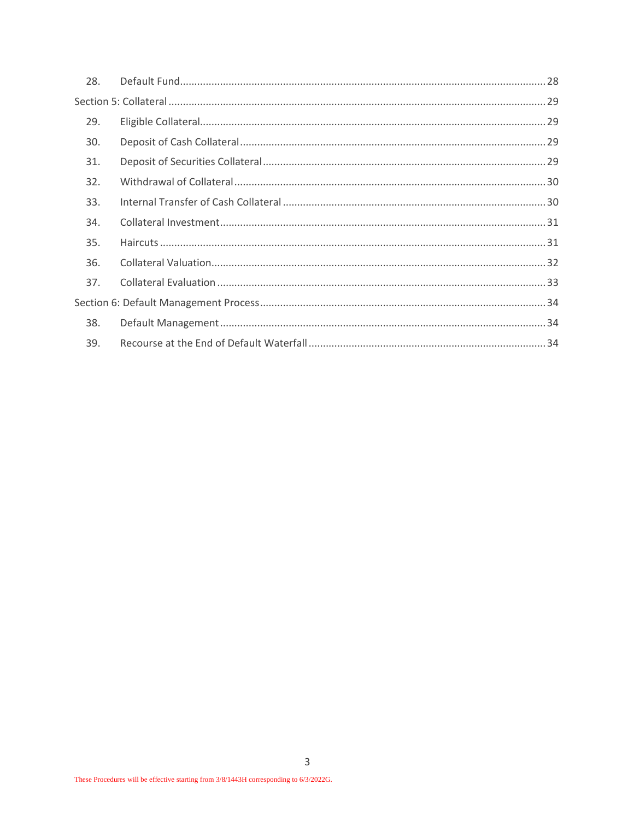| 28. |  |
|-----|--|
|     |  |
| 29. |  |
| 30. |  |
| 31. |  |
| 32. |  |
| 33. |  |
| 34. |  |
| 35. |  |
| 36. |  |
| 37. |  |
|     |  |
| 38. |  |
| 39. |  |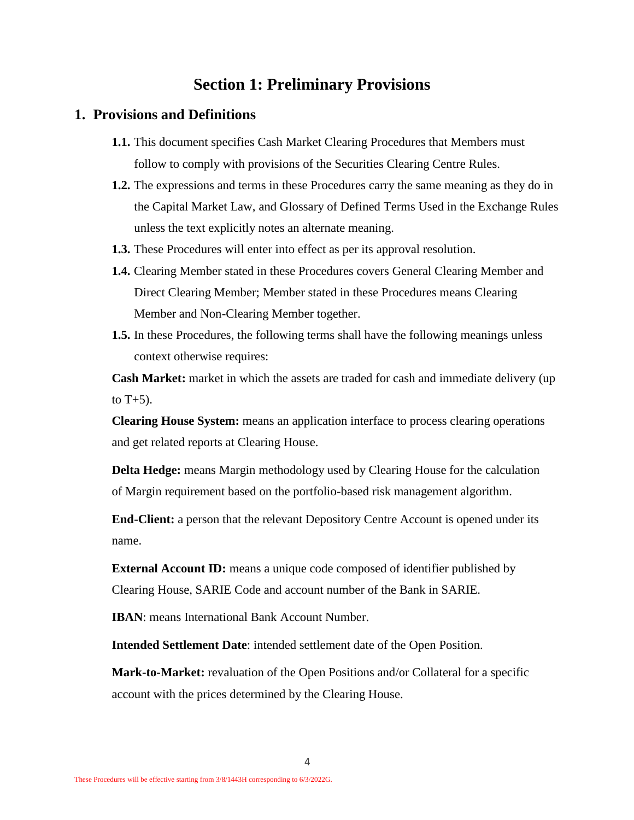## **Section 1: Preliminary Provisions**

#### <span id="page-3-1"></span><span id="page-3-0"></span>**1. Provisions and Definitions**

- **1.1.** This document specifies Cash Market Clearing Procedures that Members must follow to comply with provisions of the Securities Clearing Centre Rules.
- **1.2.** The expressions and terms in these Procedures carry the same meaning as they do in the Capital Market Law, and Glossary of Defined Terms Used in the Exchange Rules unless the text explicitly notes an alternate meaning.
- **1.3.** These Procedures will enter into effect as per its approval resolution.
- **1.4.** Clearing Member stated in these Procedures covers General Clearing Member and Direct Clearing Member; Member stated in these Procedures means Clearing Member and Non-Clearing Member together.
- **1.5.** In these Procedures, the following terms shall have the following meanings unless context otherwise requires:

**Cash Market:** market in which the assets are traded for cash and immediate delivery (up to  $T+5$ ).

**Clearing House System:** means an application interface to process clearing operations and get related reports at Clearing House.

**Delta Hedge:** means Margin methodology used by Clearing House for the calculation of Margin requirement based on the portfolio-based risk management algorithm.

**End-Client:** a person that the relevant Depository Centre Account is opened under its name.

**External Account ID:** means a unique code composed of identifier published by Clearing House, SARIE Code and account number of the Bank in SARIE.

**IBAN**: means International Bank Account Number.

**Intended Settlement Date**: intended settlement date of the Open Position.

**Mark-to-Market:** revaluation of the Open Positions and/or Collateral for a specific account with the prices determined by the Clearing House.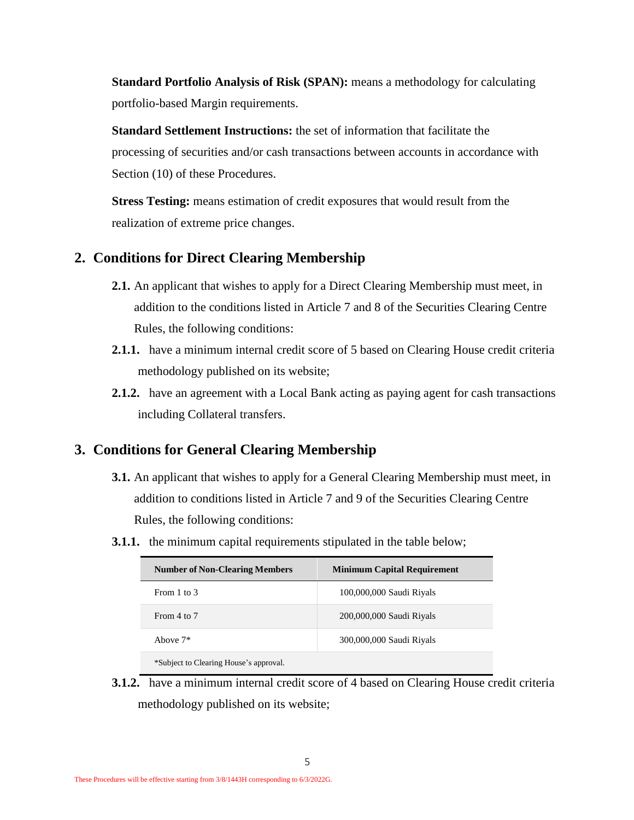**Standard Portfolio Analysis of Risk (SPAN):** means a methodology for calculating portfolio-based Margin requirements.

**Standard Settlement Instructions:** the set of information that facilitate the processing of securities and/or cash transactions between accounts in accordance with Section (10) of these Procedures.

**Stress Testing:** means estimation of credit exposures that would result from the realization of extreme price changes.

## <span id="page-4-0"></span>**2. Conditions for Direct Clearing Membership**

- **2.1.** An applicant that wishes to apply for a Direct Clearing Membership must meet, in addition to the conditions listed in Article 7 and 8 of the Securities Clearing Centre Rules, the following conditions:
- **2.1.1.** have a minimum internal credit score of 5 based on Clearing House credit criteria methodology published on its website;
- **2.1.2.** have an agreement with a Local Bank acting as paying agent for cash transactions including Collateral transfers.

### <span id="page-4-1"></span>**3. Conditions for General Clearing Membership**

- **3.1.** An applicant that wishes to apply for a General Clearing Membership must meet, in addition to conditions listed in Article 7 and 9 of the Securities Clearing Centre Rules, the following conditions:
- **3.1.1.** the minimum capital requirements stipulated in the table below;

| <b>Number of Non-Clearing Members</b>  | <b>Minimum Capital Requirement</b> |
|----------------------------------------|------------------------------------|
| From 1 to 3                            | 100,000,000 Saudi Riyals           |
| From 4 to 7                            | 200,000,000 Saudi Riyals           |
| Above $7*$                             | 300,000,000 Saudi Riyals           |
| *Subject to Clearing House's approval. |                                    |

**3.1.2.** have a minimum internal credit score of 4 based on Clearing House credit criteria methodology published on its website;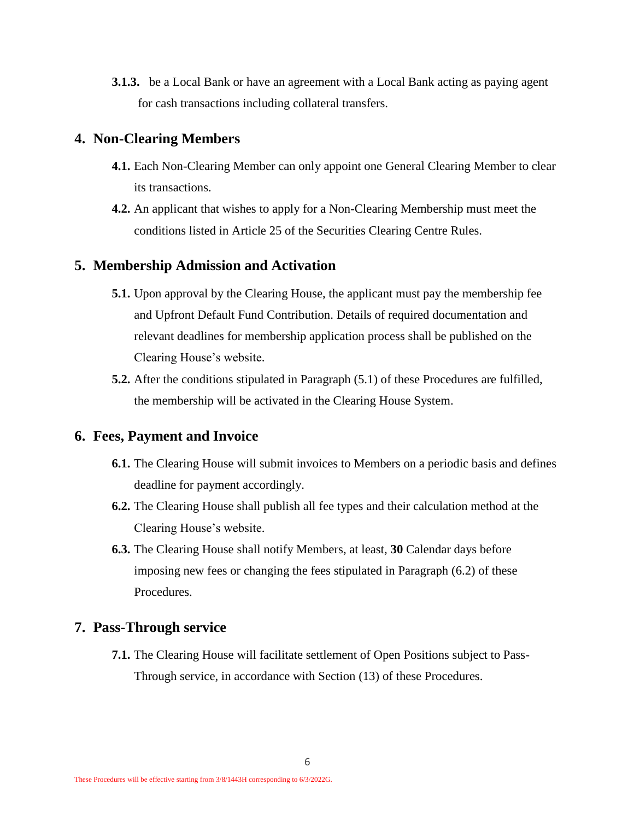**3.1.3.** be a Local Bank or have an agreement with a Local Bank acting as paying agent for cash transactions including collateral transfers.

#### <span id="page-5-0"></span>**4. Non-Clearing Members**

- **4.1.** Each Non-Clearing Member can only appoint one General Clearing Member to clear its transactions.
- **4.2.** An applicant that wishes to apply for a Non-Clearing Membership must meet the conditions listed in Article 25 of the Securities Clearing Centre Rules.

#### <span id="page-5-4"></span><span id="page-5-1"></span>**5. Membership Admission and Activation**

- **5.1.** Upon approval by the Clearing House, the applicant must pay the membership fee and Upfront Default Fund Contribution. Details of required documentation and relevant deadlines for membership application process shall be published on the Clearing House's website.
- **5.2.** After the conditions stipulated in Paragraph [\(5.1\)](#page-5-4) of these Procedures are fulfilled, the membership will be activated in the Clearing House System.

#### <span id="page-5-2"></span>**6. Fees, Payment and Invoice**

- **6.1.** The Clearing House will submit invoices to Members on a periodic basis and defines deadline for payment accordingly.
- <span id="page-5-5"></span>**6.2.** The Clearing House shall publish all fee types and their calculation method at the Clearing House's website.
- **6.3.** The Clearing House shall notify Members, at least, **30** Calendar days before imposing new fees or changing the fees stipulated in Paragraph [\(6.2\)](#page-5-5) of these Procedures.

#### <span id="page-5-3"></span>**7. Pass-Through service**

**7.1.** The Clearing House will facilitate settlement of Open Positions subject to Pass-Through service, in accordance with Section [\(13\)](#page-15-1) of these Procedures.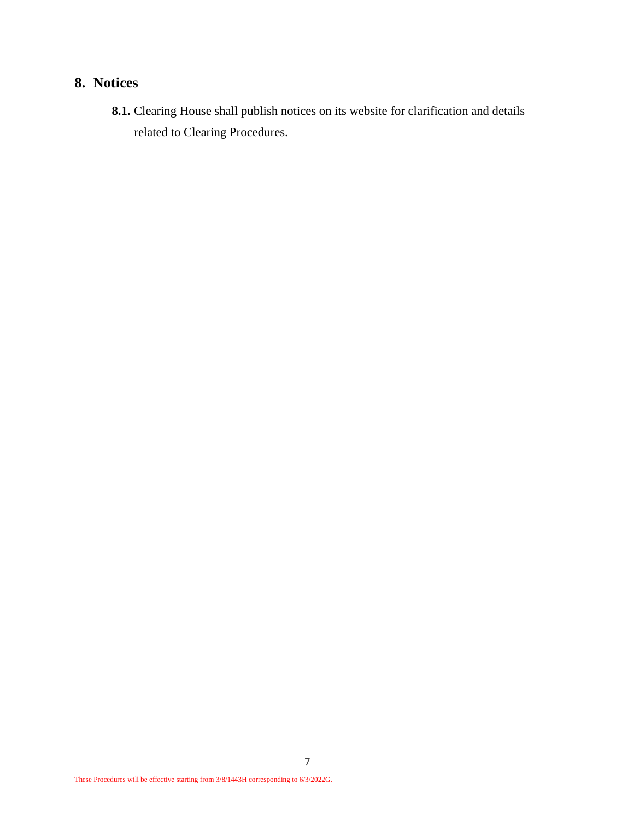## <span id="page-6-0"></span>**8. Notices**

**8.1.** Clearing House shall publish notices on its website for clarification and details related to Clearing Procedures.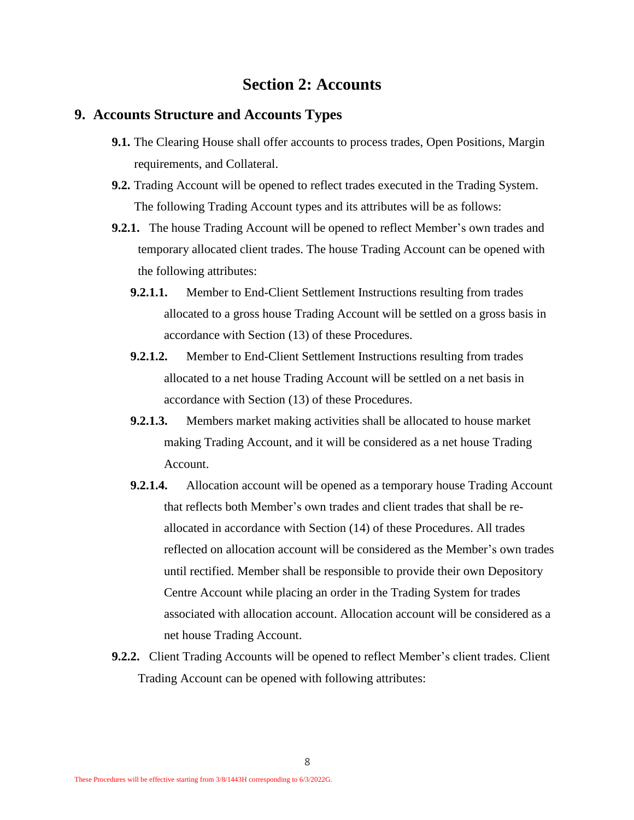## **Section 2: Accounts**

#### <span id="page-7-1"></span><span id="page-7-0"></span>**9. Accounts Structure and Accounts Types**

- **9.1.** The Clearing House shall offer accounts to process trades, Open Positions, Margin requirements, and Collateral.
- **9.2.** Trading Account will be opened to reflect trades executed in the Trading System. The following Trading Account types and its attributes will be as follows:
- **9.2.1.** The house Trading Account will be opened to reflect Member's own trades and temporary allocated client trades. The house Trading Account can be opened with the following attributes:
	- **9.2.1.1.** Member to End-Client Settlement Instructions resulting from trades allocated to a gross house Trading Account will be settled on a gross basis in accordance with Section [\(13\)](#page-15-1) of these Procedures.
	- **9.2.1.2.** Member to End-Client Settlement Instructions resulting from trades allocated to a net house Trading Account will be settled on a net basis in accordance with Section [\(13\)](#page-15-1) of these Procedures.
	- **9.2.1.3.** Members market making activities shall be allocated to house market making Trading Account, and it will be considered as a net house Trading Account.
	- **9.2.1.4.** Allocation account will be opened as a temporary house Trading Account that reflects both Member's own trades and client trades that shall be reallocated in accordance with Section [\(14\)](#page-17-0) of these Procedures. All trades reflected on allocation account will be considered as the Member's own trades until rectified. Member shall be responsible to provide their own Depository Centre Account while placing an order in the Trading System for trades associated with allocation account. Allocation account will be considered as a net house Trading Account.
- **9.2.2.** Client Trading Accounts will be opened to reflect Member's client trades. Client Trading Account can be opened with following attributes: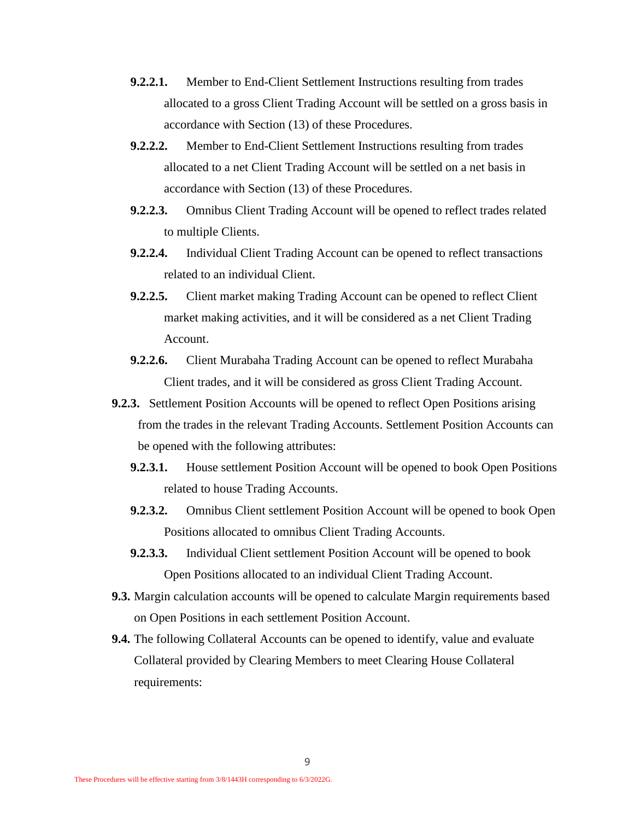- **9.2.2.1.** Member to End-Client Settlement Instructions resulting from trades allocated to a gross Client Trading Account will be settled on a gross basis in accordance with Section [\(13\)](#page-15-1) of these Procedures.
- **9.2.2.2.** Member to End-Client Settlement Instructions resulting from trades allocated to a net Client Trading Account will be settled on a net basis in accordance with Section [\(13\)](#page-15-1) of these Procedures.
- **9.2.2.3.** Omnibus Client Trading Account will be opened to reflect trades related to multiple Clients.
- **9.2.2.4.** Individual Client Trading Account can be opened to reflect transactions related to an individual Client.
- **9.2.2.5.** Client market making Trading Account can be opened to reflect Client market making activities, and it will be considered as a net Client Trading Account.
- **9.2.2.6.** Client Murabaha Trading Account can be opened to reflect Murabaha Client trades, and it will be considered as gross Client Trading Account.
- **9.2.3.** Settlement Position Accounts will be opened to reflect Open Positions arising from the trades in the relevant Trading Accounts. Settlement Position Accounts can be opened with the following attributes:
	- **9.2.3.1.** House settlement Position Account will be opened to book Open Positions related to house Trading Accounts.
	- **9.2.3.2.** Omnibus Client settlement Position Account will be opened to book Open Positions allocated to omnibus Client Trading Accounts.
	- **9.2.3.3.** Individual Client settlement Position Account will be opened to book Open Positions allocated to an individual Client Trading Account.
- **9.3.** Margin calculation accounts will be opened to calculate Margin requirements based on Open Positions in each settlement Position Account.
- **9.4.** The following Collateral Accounts can be opened to identify, value and evaluate Collateral provided by Clearing Members to meet Clearing House Collateral requirements: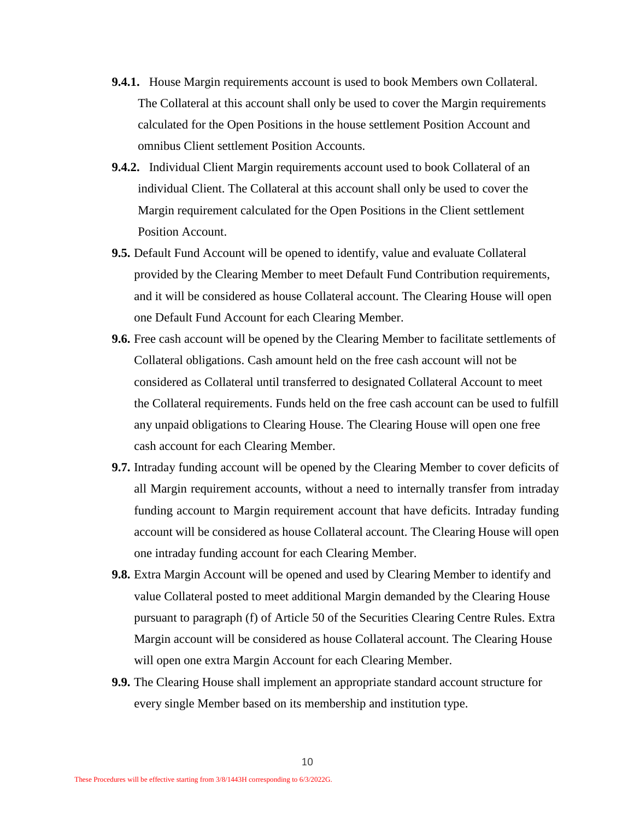- **9.4.1.** House Margin requirements account is used to book Members own Collateral. The Collateral at this account shall only be used to cover the Margin requirements calculated for the Open Positions in the house settlement Position Account and omnibus Client settlement Position Accounts.
- **9.4.2.** Individual Client Margin requirements account used to book Collateral of an individual Client. The Collateral at this account shall only be used to cover the Margin requirement calculated for the Open Positions in the Client settlement Position Account.
- **9.5.** Default Fund Account will be opened to identify, value and evaluate Collateral provided by the Clearing Member to meet Default Fund Contribution requirements, and it will be considered as house Collateral account. The Clearing House will open one Default Fund Account for each Clearing Member.
- **9.6.** Free cash account will be opened by the Clearing Member to facilitate settlements of Collateral obligations. Cash amount held on the free cash account will not be considered as Collateral until transferred to designated Collateral Account to meet the Collateral requirements. Funds held on the free cash account can be used to fulfill any unpaid obligations to Clearing House. The Clearing House will open one free cash account for each Clearing Member.
- **9.7.** Intraday funding account will be opened by the Clearing Member to cover deficits of all Margin requirement accounts, without a need to internally transfer from intraday funding account to Margin requirement account that have deficits. Intraday funding account will be considered as house Collateral account. The Clearing House will open one intraday funding account for each Clearing Member.
- **9.8.** Extra Margin Account will be opened and used by Clearing Member to identify and value Collateral posted to meet additional Margin demanded by the Clearing House pursuant to paragraph (f) of Article 50 of the Securities Clearing Centre Rules. Extra Margin account will be considered as house Collateral account. The Clearing House will open one extra Margin Account for each Clearing Member.
- **9.9.** The Clearing House shall implement an appropriate standard account structure for every single Member based on its membership and institution type.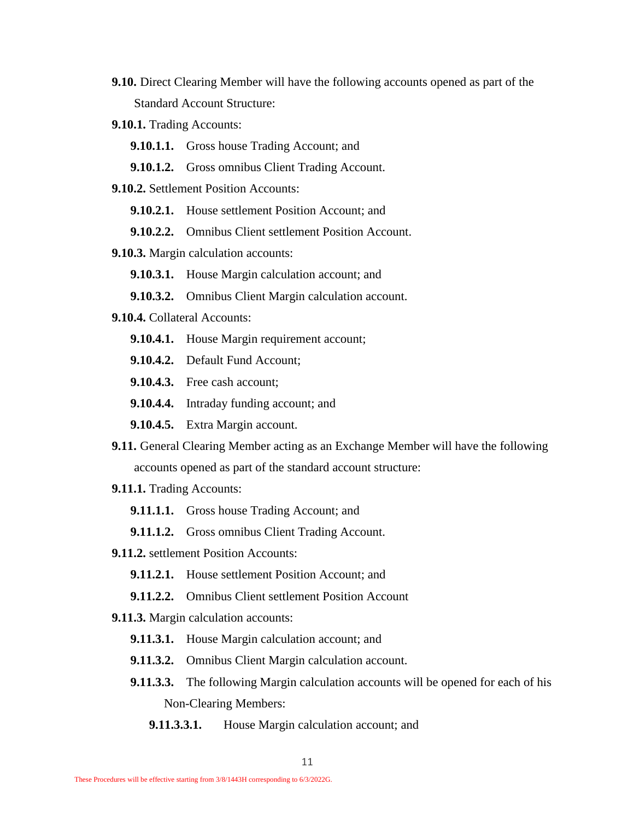- **9.10.** Direct Clearing Member will have the following accounts opened as part of the Standard Account Structure:
- **9.10.1.** Trading Accounts:
	- **9.10.1.1.** Gross house Trading Account; and
	- **9.10.1.2.** Gross omnibus Client Trading Account.
- **9.10.2.** Settlement Position Accounts:
	- **9.10.2.1.** House settlement Position Account: and
	- **9.10.2.2.** Omnibus Client settlement Position Account.
- **9.10.3.** Margin calculation accounts:
	- **9.10.3.1.** House Margin calculation account; and
	- **9.10.3.2.** Omnibus Client Margin calculation account.
- **9.10.4.** Collateral Accounts:
	- **9.10.4.1.** House Margin requirement account;
	- **9.10.4.2.** Default Fund Account;
	- **9.10.4.3.** Free cash account;
	- **9.10.4.4.** Intraday funding account; and
	- **9.10.4.5.** Extra Margin account.
- **9.11.** General Clearing Member acting as an Exchange Member will have the following accounts opened as part of the standard account structure:
- **9.11.1.** Trading Accounts:
	- **9.11.1.1.** Gross house Trading Account; and
	- **9.11.1.2.** Gross omnibus Client Trading Account.
- **9.11.2.** settlement Position Accounts:
	- **9.11.2.1.** House settlement Position Account; and
	- **9.11.2.2.** Omnibus Client settlement Position Account
- **9.11.3.** Margin calculation accounts:
	- **9.11.3.1.** House Margin calculation account; and
	- **9.11.3.2.** Omnibus Client Margin calculation account.
	- **9.11.3.3.** The following Margin calculation accounts will be opened for each of his Non-Clearing Members:
		- **9.11.3.3.1.** House Margin calculation account; and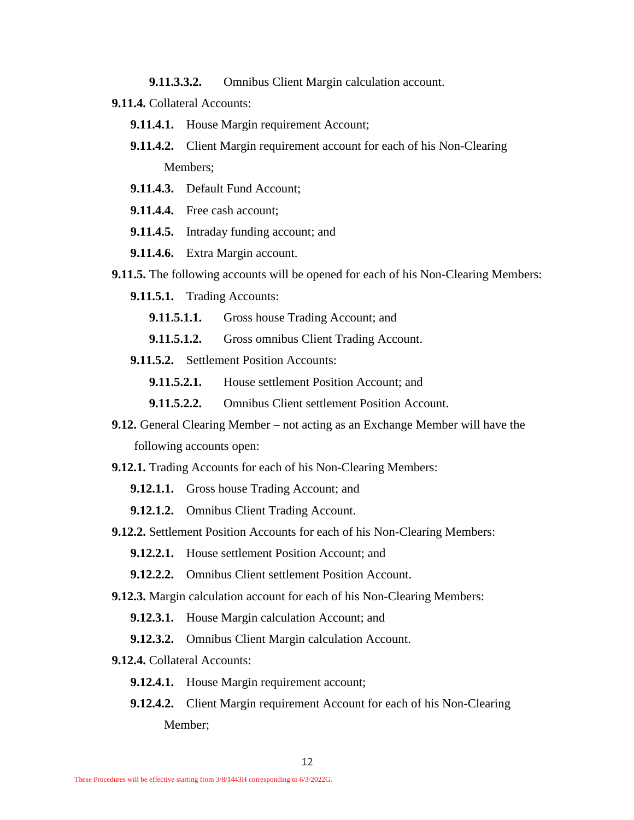**9.11.3.3.2.** Omnibus Client Margin calculation account.

- **9.11.4.** Collateral Accounts:
	- **9.11.4.1.** House Margin requirement Account;
	- **9.11.4.2.** Client Margin requirement account for each of his Non-Clearing Members;
	- **9.11.4.3.** Default Fund Account;
	- **9.11.4.4.** Free cash account;
	- **9.11.4.5.** Intraday funding account; and
	- **9.11.4.6.** Extra Margin account.
- **9.11.5.** The following accounts will be opened for each of his Non-Clearing Members:
	- **9.11.5.1.** Trading Accounts:
		- **9.11.5.1.1.** Gross house Trading Account; and
		- **9.11.5.1.2.** Gross omnibus Client Trading Account.
	- **9.11.5.2.** Settlement Position Accounts:

**9.11.5.2.1.** House settlement Position Account: and

- **9.11.5.2.2.** Omnibus Client settlement Position Account.
- **9.12.** General Clearing Member not acting as an Exchange Member will have the following accounts open:
- **9.12.1.** Trading Accounts for each of his Non-Clearing Members:
	- **9.12.1.1.** Gross house Trading Account; and
	- **9.12.1.2.** Omnibus Client Trading Account.
- **9.12.2.** Settlement Position Accounts for each of his Non-Clearing Members:
	- **9.12.2.1.** House settlement Position Account: and
	- **9.12.2.2.** Omnibus Client settlement Position Account.
- **9.12.3.** Margin calculation account for each of his Non-Clearing Members:
	- **9.12.3.1.** House Margin calculation Account; and
	- **9.12.3.2.** Omnibus Client Margin calculation Account.
- **9.12.4.** Collateral Accounts:
	- **9.12.4.1.** House Margin requirement account;
	- **9.12.4.2.** Client Margin requirement Account for each of his Non-Clearing Member;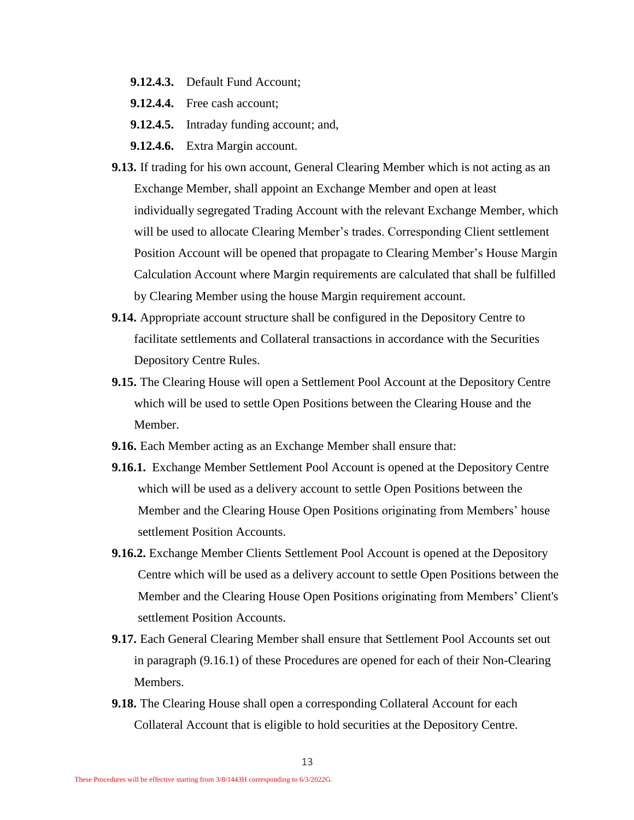- **9.12.4.3.** Default Fund Account;
- **9.12.4.4.** Free cash account;
- **9.12.4.5.** Intraday funding account; and,
- **9.12.4.6.** Extra Margin account.
- **9.13.** If trading for his own account, General Clearing Member which is not acting as an Exchange Member, shall appoint an Exchange Member and open at least individually segregated Trading Account with the relevant Exchange Member, which will be used to allocate Clearing Member's trades. Corresponding Client settlement Position Account will be opened that propagate to Clearing Member's House Margin Calculation Account where Margin requirements are calculated that shall be fulfilled by Clearing Member using the house Margin requirement account.
- **9.14.** Appropriate account structure shall be configured in the Depository Centre to facilitate settlements and Collateral transactions in accordance with the Securities Depository Centre Rules.
- **9.15.** The Clearing House will open a Settlement Pool Account at the Depository Centre which will be used to settle Open Positions between the Clearing House and the Member.
- **9.16.** Each Member acting as an Exchange Member shall ensure that:
- <span id="page-12-0"></span>**9.16.1.** Exchange Member Settlement Pool Account is opened at the Depository Centre which will be used as a delivery account to settle Open Positions between the Member and the Clearing House Open Positions originating from Members' house settlement Position Accounts.
- **9.16.2.** Exchange Member Clients Settlement Pool Account is opened at the Depository Centre which will be used as a delivery account to settle Open Positions between the Member and the Clearing House Open Positions originating from Members' Client's settlement Position Accounts.
- **9.17.** Each General Clearing Member shall ensure that Settlement Pool Accounts set out in paragraph [\(9.16.1\)](#page-12-0) of these Procedures are opened for each of their Non-Clearing Members.
- **9.18.** The Clearing House shall open a corresponding Collateral Account for each Collateral Account that is eligible to hold securities at the Depository Centre.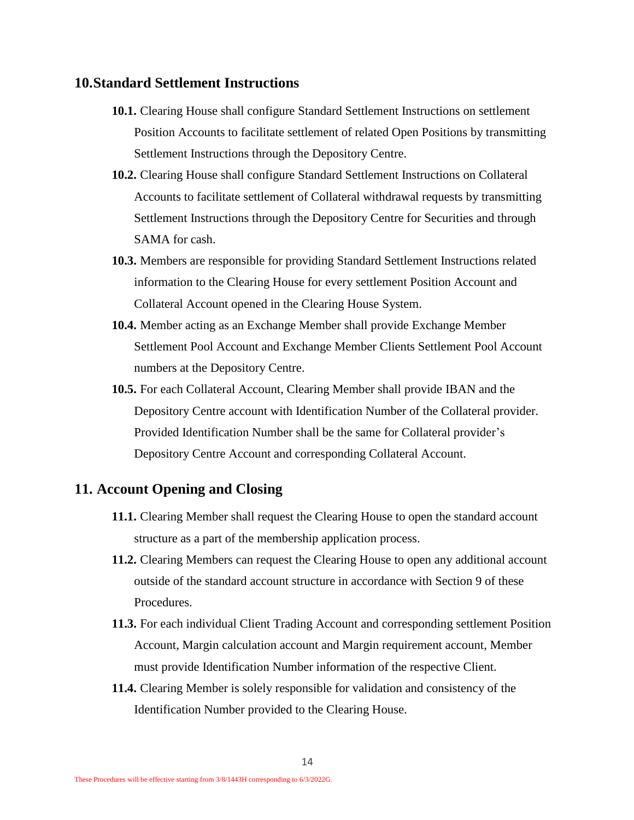#### <span id="page-13-0"></span>**10.Standard Settlement Instructions**

- **10.1.** Clearing House shall configure Standard Settlement Instructions on settlement Position Accounts to facilitate settlement of related Open Positions by transmitting Settlement Instructions through the Depository Centre.
- **10.2.** Clearing House shall configure Standard Settlement Instructions on Collateral Accounts to facilitate settlement of Collateral withdrawal requests by transmitting Settlement Instructions through the Depository Centre for Securities and through SAMA for cash.
- **10.3.** Members are responsible for providing Standard Settlement Instructions related information to the Clearing House for every settlement Position Account and Collateral Account opened in the Clearing House System.
- **10.4.** Member acting as an Exchange Member shall provide Exchange Member Settlement Pool Account and Exchange Member Clients Settlement Pool Account numbers at the Depository Centre.
- <span id="page-13-2"></span>**10.5.** For each Collateral Account, Clearing Member shall provide IBAN and the Depository Centre account with Identification Number of the Collateral provider. Provided Identification Number shall be the same for Collateral provider's Depository Centre Account and corresponding Collateral Account.

#### <span id="page-13-1"></span>**11. Account Opening and Closing**

- **11.1.** Clearing Member shall request the Clearing House to open the standard account structure as a part of the membership application process.
- **11.2.** Clearing Members can request the Clearing House to open any additional account outside of the standard account structure in accordance with Section [9](#page-7-1) of these Procedures.
- **11.3.** For each individual Client Trading Account and corresponding settlement Position Account, Margin calculation account and Margin requirement account, Member must provide Identification Number information of the respective Client.
- **11.4.** Clearing Member is solely responsible for validation and consistency of the Identification Number provided to the Clearing House.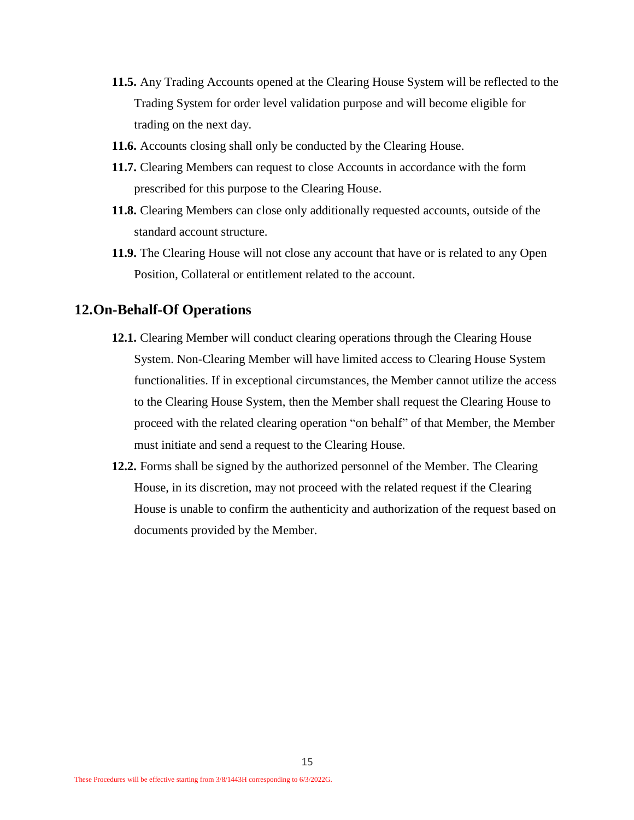- **11.5.** Any Trading Accounts opened at the Clearing House System will be reflected to the Trading System for order level validation purpose and will become eligible for trading on the next day.
- **11.6.** Accounts closing shall only be conducted by the Clearing House.
- **11.7.** Clearing Members can request to close Accounts in accordance with the form prescribed for this purpose to the Clearing House.
- **11.8.** Clearing Members can close only additionally requested accounts, outside of the standard account structure.
- **11.9.** The Clearing House will not close any account that have or is related to any Open Position, Collateral or entitlement related to the account.

#### <span id="page-14-0"></span>**12.On-Behalf-Of Operations**

- **12.1.** Clearing Member will conduct clearing operations through the Clearing House System. Non-Clearing Member will have limited access to Clearing House System functionalities. If in exceptional circumstances, the Member cannot utilize the access to the Clearing House System, then the Member shall request the Clearing House to proceed with the related clearing operation "on behalf" of that Member, the Member must initiate and send a request to the Clearing House.
- **12.2.** Forms shall be signed by the authorized personnel of the Member. The Clearing House, in its discretion, may not proceed with the related request if the Clearing House is unable to confirm the authenticity and authorization of the request based on documents provided by the Member.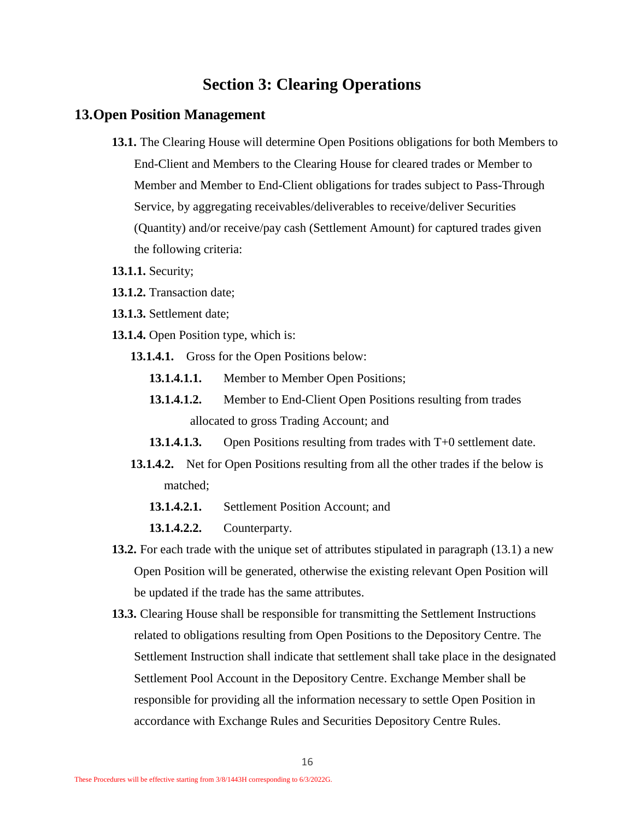# **Section 3: Clearing Operations**

#### <span id="page-15-2"></span><span id="page-15-1"></span><span id="page-15-0"></span>**13.Open Position Management**

- **13.1.** The Clearing House will determine Open Positions obligations for both Members to End-Client and Members to the Clearing House for cleared trades or Member to Member and Member to End-Client obligations for trades subject to Pass-Through Service, by aggregating receivables/deliverables to receive/deliver Securities (Quantity) and/or receive/pay cash (Settlement Amount) for captured trades given the following criteria:
- **13.1.1.** Security;
- **13.1.2.** Transaction date;
- **13.1.3.** Settlement date;
- **13.1.4.** Open Position type, which is:
	- **13.1.4.1.** Gross for the Open Positions below:
		- **13.1.4.1.1.** Member to Member Open Positions;
		- **13.1.4.1.2.** Member to End-Client Open Positions resulting from trades allocated to gross Trading Account; and
		- **13.1.4.1.3.** Open Positions resulting from trades with T+0 settlement date.
	- **13.1.4.2.** Net for Open Positions resulting from all the other trades if the below is matched;
		- **13.1.4.2.1.** Settlement Position Account; and
		- **13.1.4.2.2.** Counterparty.
- **13.2.** For each trade with the unique set of attributes stipulated in paragraph [\(13.1\)](#page-15-2) a new Open Position will be generated, otherwise the existing relevant Open Position will be updated if the trade has the same attributes.
- **13.3.** Clearing House shall be responsible for transmitting the Settlement Instructions related to obligations resulting from Open Positions to the Depository Centre. The Settlement Instruction shall indicate that settlement shall take place in the designated Settlement Pool Account in the Depository Centre. Exchange Member shall be responsible for providing all the information necessary to settle Open Position in accordance with Exchange Rules and Securities Depository Centre Rules.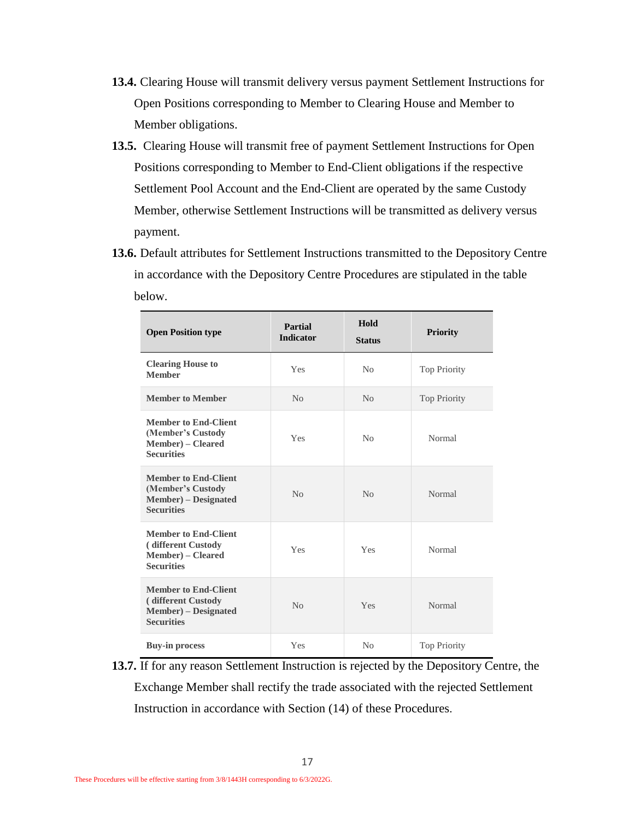- **13.4.** Clearing House will transmit delivery versus payment Settlement Instructions for Open Positions corresponding to Member to Clearing House and Member to Member obligations.
- **13.5.** Clearing House will transmit free of payment Settlement Instructions for Open Positions corresponding to Member to End-Client obligations if the respective Settlement Pool Account and the End-Client are operated by the same Custody Member, otherwise Settlement Instructions will be transmitted as delivery versus payment.
- **13.6.** Default attributes for Settlement Instructions transmitted to the Depository Centre in accordance with the Depository Centre Procedures are stipulated in the table below.

| <b>Open Position type</b>                                                                           | Partial<br><b>Indicator</b> | Hold<br><b>Status</b> | <b>Priority</b>     |
|-----------------------------------------------------------------------------------------------------|-----------------------------|-----------------------|---------------------|
| <b>Clearing House to</b><br><b>Member</b>                                                           | Yes                         | No                    | <b>Top Priority</b> |
| <b>Member to Member</b>                                                                             | No                          | No                    | <b>Top Priority</b> |
| <b>Member to End-Client</b><br>(Member's Custody<br><b>Member</b> ) – Cleared<br><b>Securities</b>  | Yes                         | N <sub>0</sub>        | Normal              |
| <b>Member to End-Client</b><br>(Member's Custody<br>Member) - Designated<br><b>Securities</b>       | No                          | No                    | Normal              |
| <b>Member to End-Client</b><br>(different Custody<br><b>Member</b> ) – Cleared<br><b>Securities</b> | Yes                         | Yes                   | Normal              |
| <b>Member to End-Client</b><br>(different Custody)<br>Member) – Designated<br><b>Securities</b>     | No                          | Yes                   | Normal              |
| <b>Buy-in process</b>                                                                               | Yes                         | No                    | <b>Top Priority</b> |

<span id="page-16-0"></span>**13.7.** If for any reason Settlement Instruction is rejected by the Depository Centre, the Exchange Member shall rectify the trade associated with the rejected Settlement Instruction in accordance with Section [\(14\)](#page-17-0) of these Procedures.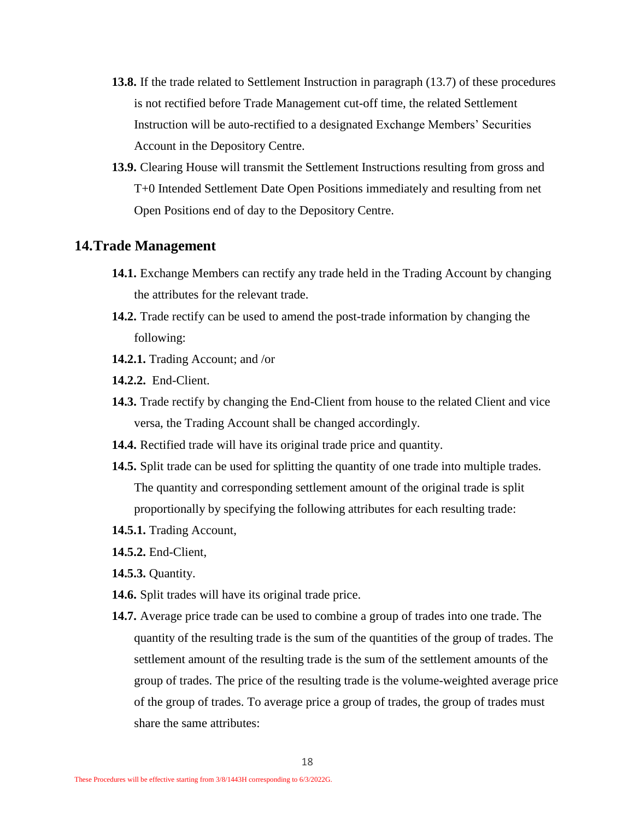- **13.8.** If the trade related to Settlement Instruction in paragraph [\(13.7\)](#page-16-0) of these procedures is not rectified before Trade Management cut-off time, the related Settlement Instruction will be auto-rectified to a designated Exchange Members' Securities Account in the Depository Centre.
- **13.9.** Clearing House will transmit the Settlement Instructions resulting from gross and T+0 Intended Settlement Date Open Positions immediately and resulting from net Open Positions end of day to the Depository Centre.

#### <span id="page-17-0"></span>**14.Trade Management**

- **14.1.** Exchange Members can rectify any trade held in the Trading Account by changing the attributes for the relevant trade.
- **14.2.** Trade rectify can be used to amend the post-trade information by changing the following:
- **14.2.1.** Trading Account; and /or
- **14.2.2.** End-Client.
- **14.3.** Trade rectify by changing the End-Client from house to the related Client and vice versa, the Trading Account shall be changed accordingly.
- **14.4.** Rectified trade will have its original trade price and quantity.
- **14.5.** Split trade can be used for splitting the quantity of one trade into multiple trades. The quantity and corresponding settlement amount of the original trade is split proportionally by specifying the following attributes for each resulting trade:
- **14.5.1.** Trading Account,
- **14.5.2.** End-Client,
- **14.5.3.** Quantity.
- **14.6.** Split trades will have its original trade price.
- **14.7.** Average price trade can be used to combine a group of trades into one trade. The quantity of the resulting trade is the sum of the quantities of the group of trades. The settlement amount of the resulting trade is the sum of the settlement amounts of the group of trades. The price of the resulting trade is the volume-weighted average price of the group of trades. To average price a group of trades, the group of trades must share the same attributes: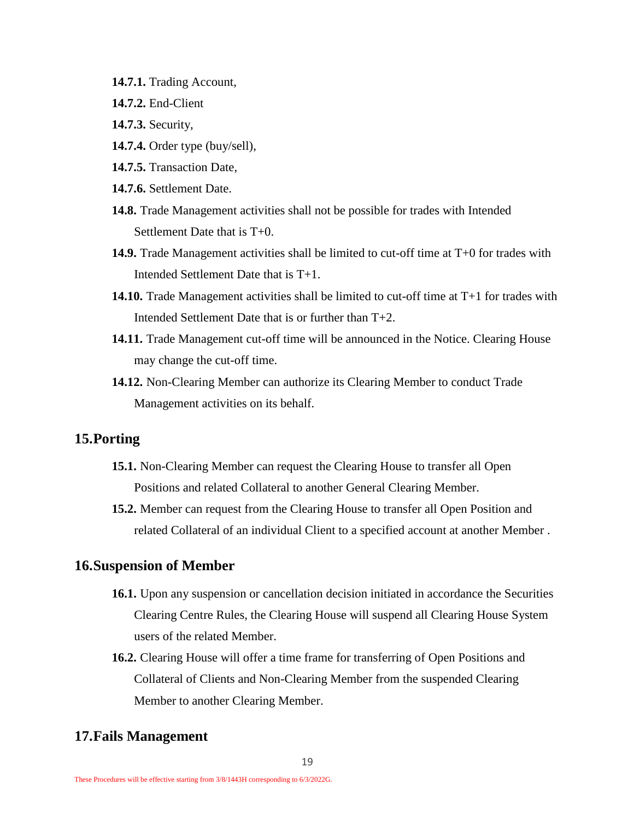- **14.7.1.** Trading Account,
- **14.7.2.** End-Client
- **14.7.3.** Security,
- **14.7.4.** Order type (buy/sell),
- **14.7.5.** Transaction Date,
- **14.7.6.** Settlement Date.
- **14.8.** Trade Management activities shall not be possible for trades with Intended Settlement Date that is T+0.
- **14.9.** Trade Management activities shall be limited to cut-off time at T+0 for trades with Intended Settlement Date that is T+1.
- **14.10.** Trade Management activities shall be limited to cut-off time at T+1 for trades with Intended Settlement Date that is or further than T+2.
- **14.11.** Trade Management cut-off time will be announced in the Notice. Clearing House may change the cut-off time.
- **14.12.** Non-Clearing Member can authorize its Clearing Member to conduct Trade Management activities on its behalf.

#### <span id="page-18-0"></span>**15.Porting**

- **15.1.** Non-Clearing Member can request the Clearing House to transfer all Open Positions and related Collateral to another General Clearing Member.
- **15.2.** Member can request from the Clearing House to transfer all Open Position and related Collateral of an individual Client to a specified account at another Member.

#### <span id="page-18-1"></span>**16.Suspension of Member**

- **16.1.** Upon any suspension or cancellation decision initiated in accordance the Securities Clearing Centre Rules, the Clearing House will suspend all Clearing House System users of the related Member.
- **16.2.** Clearing House will offer a time frame for transferring of Open Positions and Collateral of Clients and Non-Clearing Member from the suspended Clearing Member to another Clearing Member.

## <span id="page-18-2"></span>**17.Fails Management**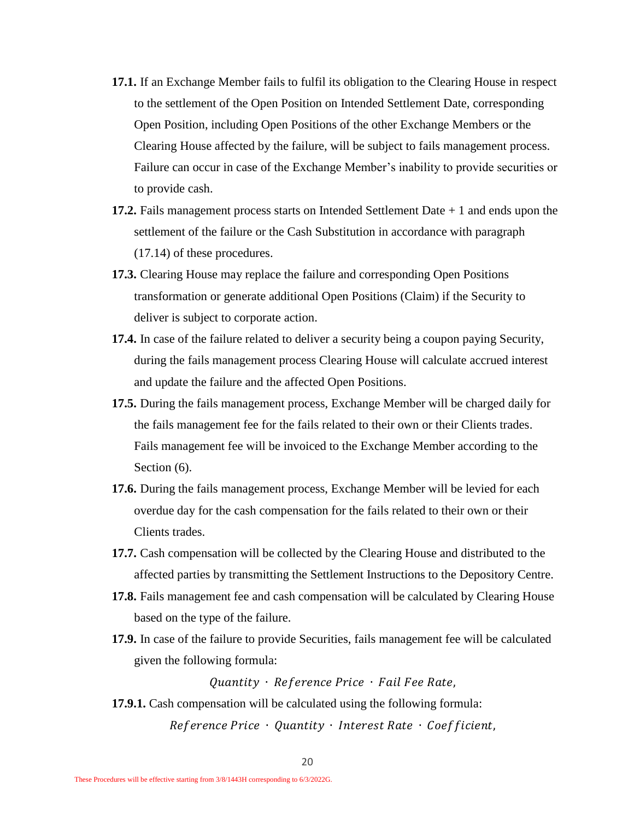- **17.1.** If an Exchange Member fails to fulfil its obligation to the Clearing House in respect to the settlement of the Open Position on Intended Settlement Date, corresponding Open Position, including Open Positions of the other Exchange Members or the Clearing House affected by the failure, will be subject to fails management process. Failure can occur in case of the Exchange Member's inability to provide securities or to provide cash.
- **17.2.** Fails management process starts on Intended Settlement Date + 1 and ends upon the settlement of the failure or the Cash Substitution in accordance with paragraph [\(17.14\)](#page-20-0) of these procedures.
- **17.3.** Clearing House may replace the failure and corresponding Open Positions transformation or generate additional Open Positions (Claim) if the Security to deliver is subject to corporate action.
- **17.4.** In case of the failure related to deliver a security being a coupon paying Security, during the fails management process Clearing House will calculate accrued interest and update the failure and the affected Open Positions.
- **17.5.** During the fails management process, Exchange Member will be charged daily for the fails management fee for the fails related to their own or their Clients trades. Fails management fee will be invoiced to the Exchange Member according to the Section  $(6)$ .
- **17.6.** During the fails management process, Exchange Member will be levied for each overdue day for the cash compensation for the fails related to their own or their Clients trades.
- **17.7.** Cash compensation will be collected by the Clearing House and distributed to the affected parties by transmitting the Settlement Instructions to the Depository Centre.
- **17.8.** Fails management fee and cash compensation will be calculated by Clearing House based on the type of the failure.
- **17.9.** In case of the failure to provide Securities, fails management fee will be calculated given the following formula:

Quantity · Reference Price · Fail Fee Rate,

**17.9.1.** Cash compensation will be calculated using the following formula: Reference Price • Quantity • Interest Rate • Coefficient,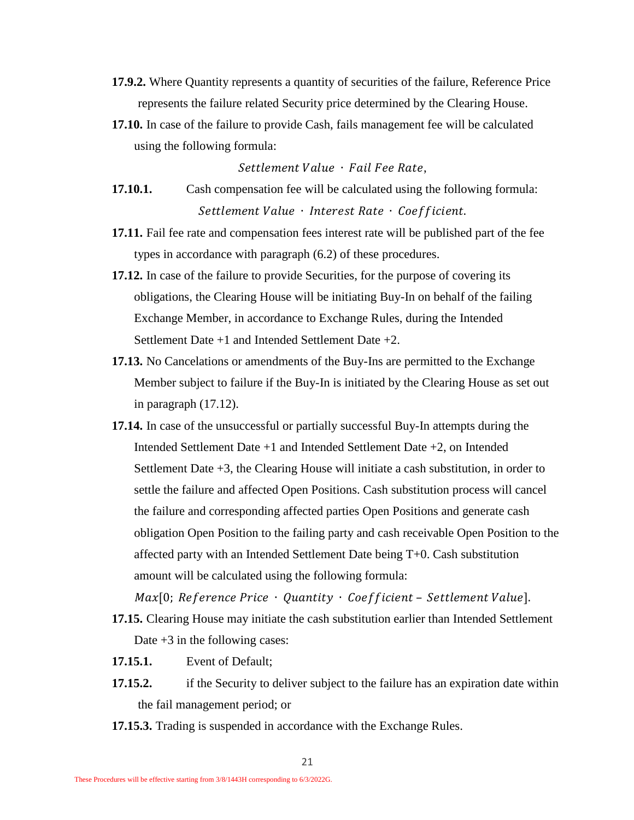- **17.9.2.** Where Quantity represents a quantity of securities of the failure, Reference Price represents the failure related Security price determined by the Clearing House.
- **17.10.** In case of the failure to provide Cash, fails management fee will be calculated using the following formula:

Settlement Value · Fail Fee Rate,

- **17.10.1.** Cash compensation fee will be calculated using the following formula: Settlement Value · Interest Rate · Coefficient.
- **17.11.** Fail fee rate and compensation fees interest rate will be published part of the fee types in accordance with paragraph [\(6.2\)](#page-5-5) of these procedures.
- <span id="page-20-1"></span>**17.12.** In case of the failure to provide Securities, for the purpose of covering its obligations, the Clearing House will be initiating Buy-In on behalf of the failing Exchange Member, in accordance to Exchange Rules, during the Intended Settlement Date +1 and Intended Settlement Date +2.
- **17.13.** No Cancelations or amendments of the Buy-Ins are permitted to the Exchange Member subject to failure if the Buy-In is initiated by the Clearing House as set out in paragraph [\(17.12\)](#page-20-1).
- <span id="page-20-0"></span>**17.14.** In case of the unsuccessful or partially successful Buy-In attempts during the Intended Settlement Date +1 and Intended Settlement Date +2, on Intended Settlement Date +3, the Clearing House will initiate a cash substitution, in order to settle the failure and affected Open Positions. Cash substitution process will cancel the failure and corresponding affected parties Open Positions and generate cash obligation Open Position to the failing party and cash receivable Open Position to the affected party with an Intended Settlement Date being T+0. Cash substitution amount will be calculated using the following formula:

 $Max[0; Reference Price \cdot Quantity \cdot Coefficient - SetElement Value].$ **17.15.** Clearing House may initiate the cash substitution earlier than Intended Settlement

Date +3 in the following cases:

- **17.15.1.** Event of Default;
- **17.15.2.** if the Security to deliver subject to the failure has an expiration date within the fail management period; or
- **17.15.3.** Trading is suspended in accordance with the Exchange Rules.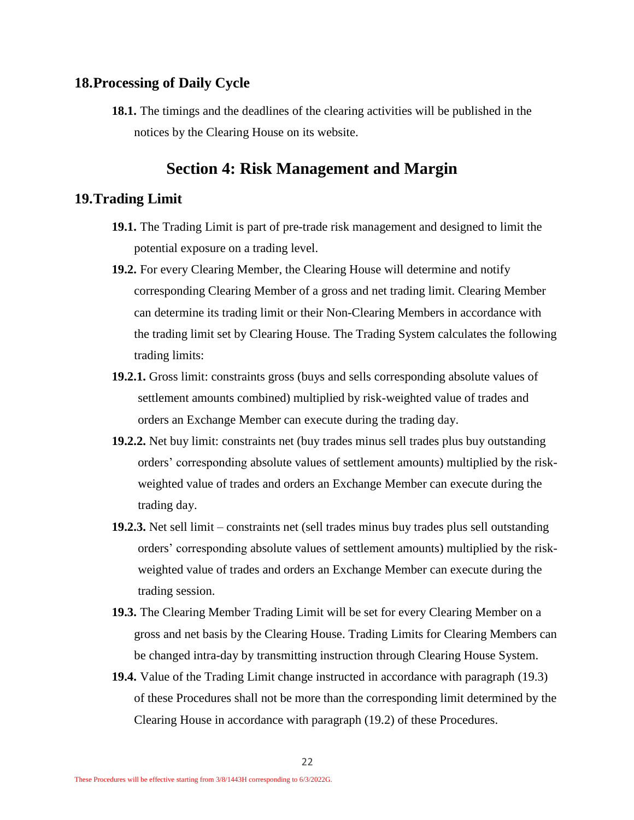#### <span id="page-21-0"></span>**18.Processing of Daily Cycle**

**18.1.** The timings and the deadlines of the clearing activities will be published in the notices by the Clearing House on its website.

## **Section 4: Risk Management and Margin**

#### <span id="page-21-2"></span><span id="page-21-1"></span>**19.Trading Limit**

- **19.1.** The Trading Limit is part of pre-trade risk management and designed to limit the potential exposure on a trading level.
- <span id="page-21-4"></span>**19.2.** For every Clearing Member, the Clearing House will determine and notify corresponding Clearing Member of a gross and net trading limit. Clearing Member can determine its trading limit or their Non-Clearing Members in accordance with the trading limit set by Clearing House. The Trading System calculates the following trading limits:
- **19.2.1.** Gross limit: constraints gross (buys and sells corresponding absolute values of settlement amounts combined) multiplied by risk-weighted value of trades and orders an Exchange Member can execute during the trading day.
- **19.2.2.** Net buy limit: constraints net (buy trades minus sell trades plus buy outstanding orders' corresponding absolute values of settlement amounts) multiplied by the riskweighted value of trades and orders an Exchange Member can execute during the trading day.
- **19.2.3.** Net sell limit constraints net (sell trades minus buy trades plus sell outstanding orders' corresponding absolute values of settlement amounts) multiplied by the riskweighted value of trades and orders an Exchange Member can execute during the trading session.
- <span id="page-21-3"></span>**19.3.** The Clearing Member Trading Limit will be set for every Clearing Member on a gross and net basis by the Clearing House. Trading Limits for Clearing Members can be changed intra-day by transmitting instruction through Clearing House System.
- **19.4.** Value of the Trading Limit change instructed in accordance with paragraph [\(19.3\)](#page-21-3) of these Procedures shall not be more than the corresponding limit determined by the Clearing House in accordance with paragraph [\(19.2\)](#page-21-4) of these Procedures.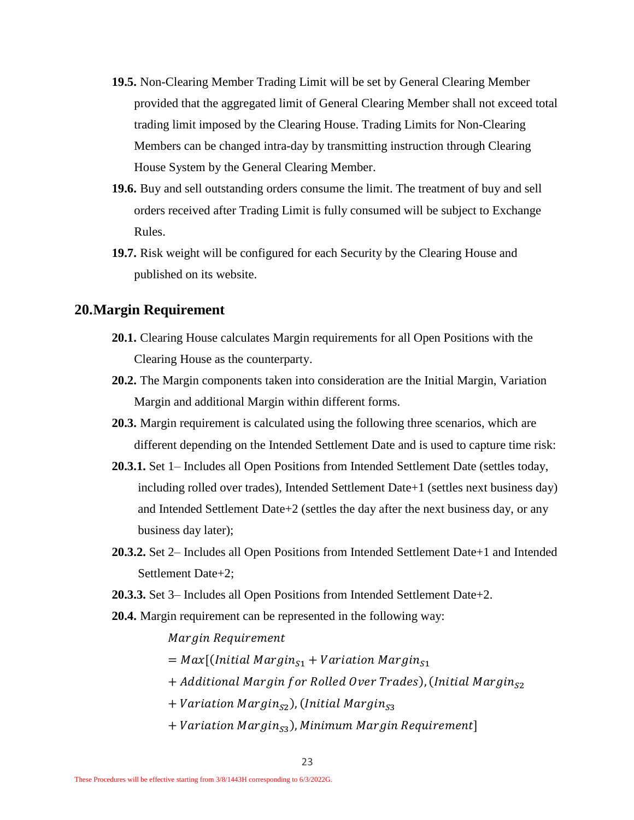- **19.5.** Non-Clearing Member Trading Limit will be set by General Clearing Member provided that the aggregated limit of General Clearing Member shall not exceed total trading limit imposed by the Clearing House. Trading Limits for Non-Clearing Members can be changed intra-day by transmitting instruction through Clearing House System by the General Clearing Member.
- **19.6.** Buy and sell outstanding orders consume the limit. The treatment of buy and sell orders received after Trading Limit is fully consumed will be subject to Exchange Rules.
- **19.7.** Risk weight will be configured for each Security by the Clearing House and published on its website.

#### <span id="page-22-0"></span>**20.Margin Requirement**

- **20.1.** Clearing House calculates Margin requirements for all Open Positions with the Clearing House as the counterparty.
- **20.2.** The Margin components taken into consideration are the Initial Margin, Variation Margin and additional Margin within different forms.
- **20.3.** Margin requirement is calculated using the following three scenarios, which are different depending on the Intended Settlement Date and is used to capture time risk:
- **20.3.1.** Set 1– Includes all Open Positions from Intended Settlement Date (settles today, including rolled over trades), Intended Settlement Date+1 (settles next business day) and Intended Settlement Date+2 (settles the day after the next business day, or any business day later);
- **20.3.2.** Set 2– Includes all Open Positions from Intended Settlement Date+1 and Intended Settlement Date+2;
- **20.3.3.** Set 3– Includes all Open Positions from Intended Settlement Date+2.
- **20.4.** Margin requirement can be represented in the following way:

Margin Requirement

- $=$  Max [(Initial Margin<sub>S1</sub> + Variation Margin<sub>S1</sub>
- + Additional Margin for Rolled Over Trades), (Initial Margin $_{52}$
- $+$  Variation Margin $_{S2}$ ), (Initial Margin $_{S3}$
- $+$  Variation Margin $_{\rm S3}$ ), Minimum Margin Requirement]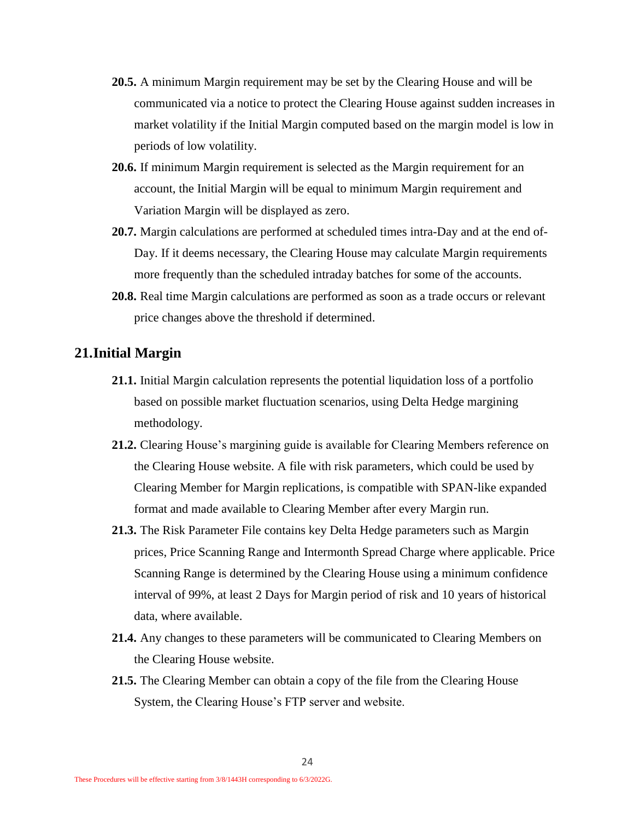- **20.5.** A minimum Margin requirement may be set by the Clearing House and will be communicated via a notice to protect the Clearing House against sudden increases in market volatility if the Initial Margin computed based on the margin model is low in periods of low volatility.
- **20.6.** If minimum Margin requirement is selected as the Margin requirement for an account, the Initial Margin will be equal to minimum Margin requirement and Variation Margin will be displayed as zero.
- **20.7.** Margin calculations are performed at scheduled times intra-Day and at the end of-Day. If it deems necessary, the Clearing House may calculate Margin requirements more frequently than the scheduled intraday batches for some of the accounts.
- **20.8.** Real time Margin calculations are performed as soon as a trade occurs or relevant price changes above the threshold if determined.

#### <span id="page-23-0"></span>**21.Initial Margin**

- **21.1.** Initial Margin calculation represents the potential liquidation loss of a portfolio based on possible market fluctuation scenarios, using Delta Hedge margining methodology.
- **21.2.** Clearing House's margining guide is available for Clearing Members reference on the Clearing House website. A file with risk parameters, which could be used by Clearing Member for Margin replications, is compatible with SPAN-like expanded format and made available to Clearing Member after every Margin run.
- **21.3.** The Risk Parameter File contains key Delta Hedge parameters such as Margin prices, Price Scanning Range and Intermonth Spread Charge where applicable. Price Scanning Range is determined by the Clearing House using a minimum confidence interval of 99%, at least 2 Days for Margin period of risk and 10 years of historical data, where available.
- **21.4.** Any changes to these parameters will be communicated to Clearing Members on the Clearing House website.
- **21.5.** The Clearing Member can obtain a copy of the file from the Clearing House System, the Clearing House's FTP server and website.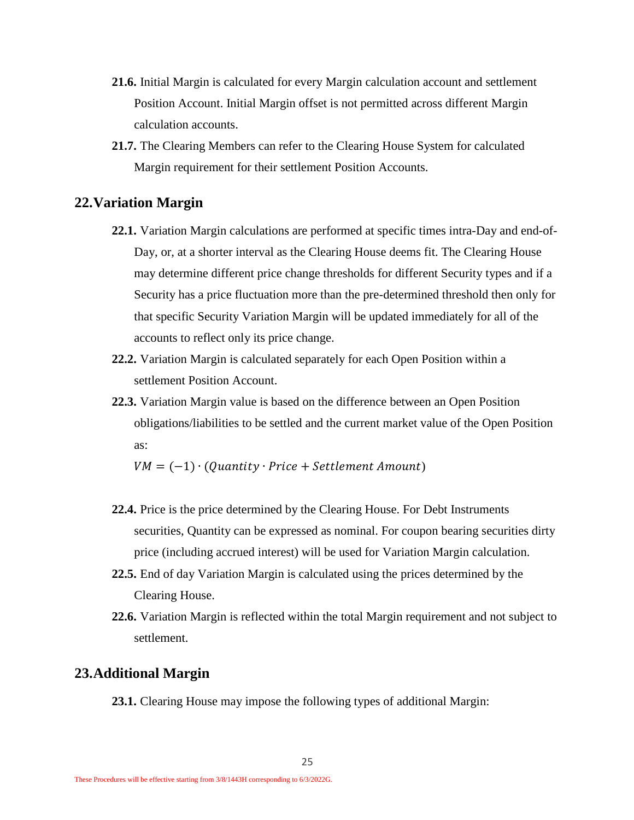- **21.6.** Initial Margin is calculated for every Margin calculation account and settlement Position Account. Initial Margin offset is not permitted across different Margin calculation accounts.
- **21.7.** The Clearing Members can refer to the Clearing House System for calculated Margin requirement for their settlement Position Accounts.

#### <span id="page-24-0"></span>**22.Variation Margin**

- **22.1.** Variation Margin calculations are performed at specific times intra-Day and end-of-Day, or, at a shorter interval as the Clearing House deems fit. The Clearing House may determine different price change thresholds for different Security types and if a Security has a price fluctuation more than the pre-determined threshold then only for that specific Security Variation Margin will be updated immediately for all of the accounts to reflect only its price change.
- **22.2.** Variation Margin is calculated separately for each Open Position within a settlement Position Account.
- **22.3.** Variation Margin value is based on the difference between an Open Position obligations/liabilities to be settled and the current market value of the Open Position as:

 $VM = (-1) \cdot (Quantity \cdot Price + Settlement Amount)$ 

- **22.4.** Price is the price determined by the Clearing House. For Debt Instruments securities, Quantity can be expressed as nominal. For coupon bearing securities dirty price (including accrued interest) will be used for Variation Margin calculation.
- **22.5.** End of day Variation Margin is calculated using the prices determined by the Clearing House.
- **22.6.** Variation Margin is reflected within the total Margin requirement and not subject to settlement.

#### <span id="page-24-1"></span>**23.Additional Margin**

**23.1.** Clearing House may impose the following types of additional Margin: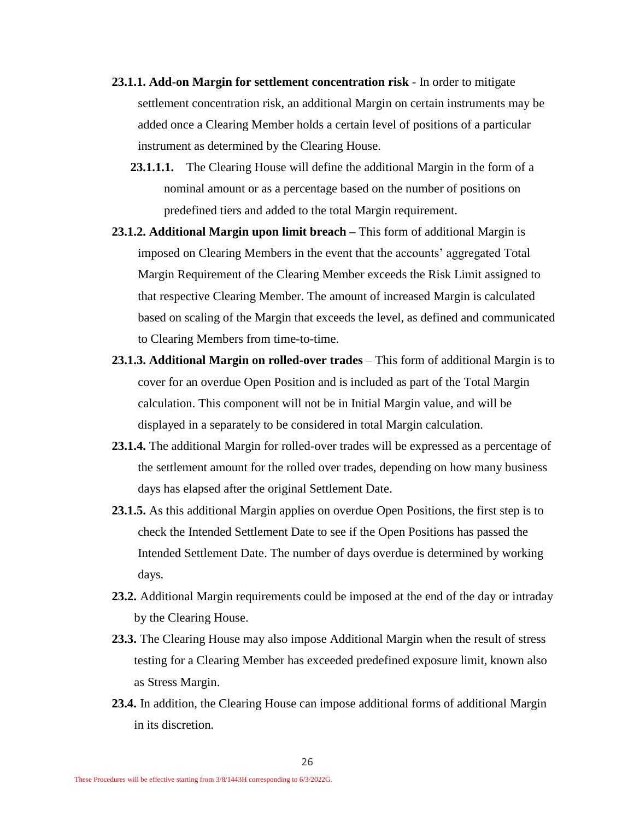- **23.1.1. Add-on Margin for settlement concentration risk** In order to mitigate settlement concentration risk, an additional Margin on certain instruments may be added once a Clearing Member holds a certain level of positions of a particular instrument as determined by the Clearing House.
	- **23.1.1.1.** The Clearing House will define the additional Margin in the form of a nominal amount or as a percentage based on the number of positions on predefined tiers and added to the total Margin requirement.
- **23.1.2. Additional Margin upon limit breach –** This form of additional Margin is imposed on Clearing Members in the event that the accounts' aggregated Total Margin Requirement of the Clearing Member exceeds the Risk Limit assigned to that respective Clearing Member. The amount of increased Margin is calculated based on scaling of the Margin that exceeds the level, as defined and communicated to Clearing Members from time-to-time.
- **23.1.3. Additional Margin on rolled-over trades**  This form of additional Margin is to cover for an overdue Open Position and is included as part of the Total Margin calculation. This component will not be in Initial Margin value, and will be displayed in a separately to be considered in total Margin calculation.
- **23.1.4.** The additional Margin for rolled-over trades will be expressed as a percentage of the settlement amount for the rolled over trades, depending on how many business days has elapsed after the original Settlement Date.
- **23.1.5.** As this additional Margin applies on overdue Open Positions, the first step is to check the Intended Settlement Date to see if the Open Positions has passed the Intended Settlement Date. The number of days overdue is determined by working days.
- **23.2.** Additional Margin requirements could be imposed at the end of the day or intraday by the Clearing House.
- **23.3.** The Clearing House may also impose Additional Margin when the result of stress testing for a Clearing Member has exceeded predefined exposure limit, known also as Stress Margin.
- **23.4.** In addition, the Clearing House can impose additional forms of additional Margin in its discretion.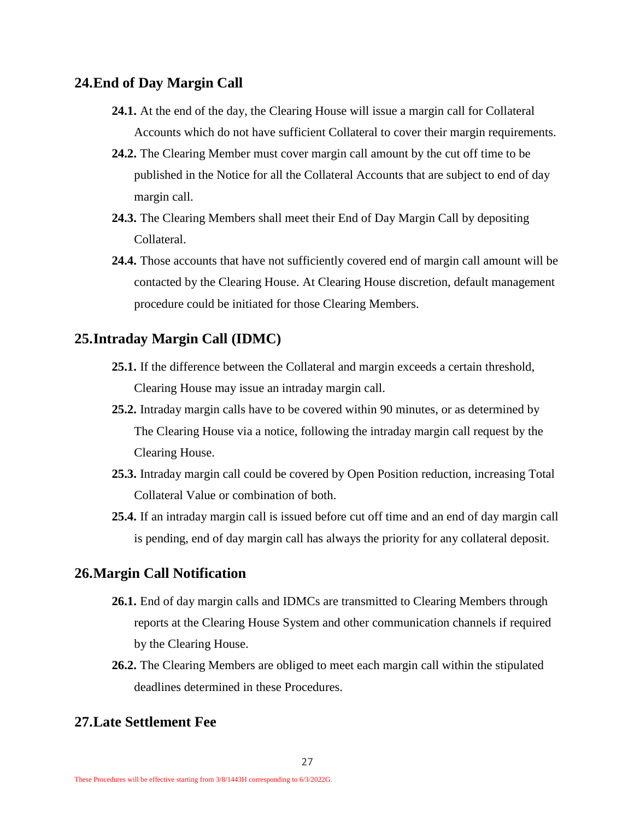#### <span id="page-26-0"></span>**24.End of Day Margin Call**

- **24.1.** At the end of the day, the Clearing House will issue a margin call for Collateral Accounts which do not have sufficient Collateral to cover their margin requirements.
- **24.2.** The Clearing Member must cover margin call amount by the cut off time to be published in the Notice for all the Collateral Accounts that are subject to end of day margin call.
- **24.3.** The Clearing Members shall meet their End of Day Margin Call by depositing Collateral.
- **24.4.** Those accounts that have not sufficiently covered end of margin call amount will be contacted by the Clearing House. At Clearing House discretion, default management procedure could be initiated for those Clearing Members.

#### <span id="page-26-1"></span>**25.Intraday Margin Call (IDMC)**

- **25.1.** If the difference between the Collateral and margin exceeds a certain threshold, Clearing House may issue an intraday margin call.
- **25.2.** Intraday margin calls have to be covered within 90 minutes, or as determined by The Clearing House via a notice, following the intraday margin call request by the Clearing House.
- **25.3.** Intraday margin call could be covered by Open Position reduction, increasing Total Collateral Value or combination of both.
- **25.4.** If an intraday margin call is issued before cut off time and an end of day margin call is pending, end of day margin call has always the priority for any collateral deposit.

#### <span id="page-26-2"></span>**26.Margin Call Notification**

- **26.1.** End of day margin calls and IDMCs are transmitted to Clearing Members through reports at the Clearing House System and other communication channels if required by the Clearing House.
- **26.2.** The Clearing Members are obliged to meet each margin call within the stipulated deadlines determined in these Procedures.

## <span id="page-26-3"></span>**27.Late Settlement Fee**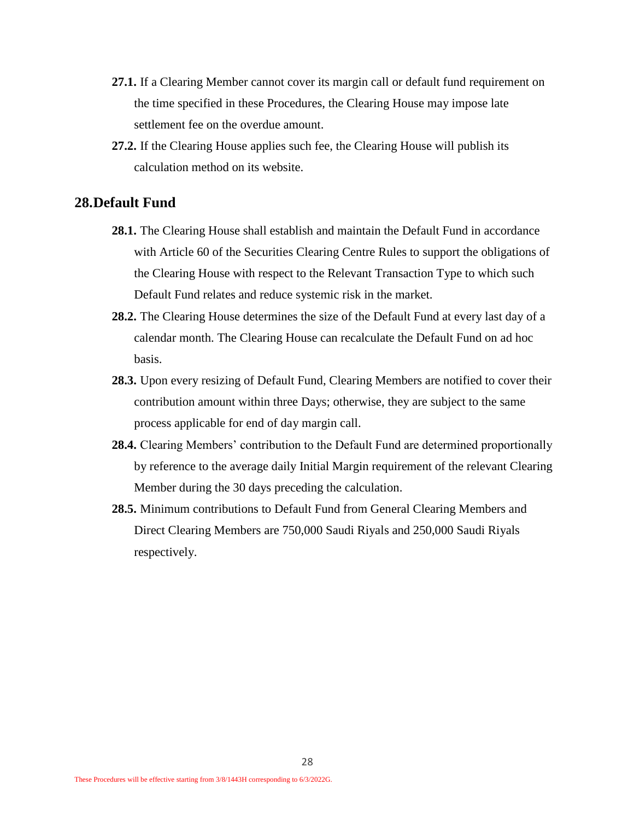- **27.1.** If a Clearing Member cannot cover its margin call or default fund requirement on the time specified in these Procedures, the Clearing House may impose late settlement fee on the overdue amount.
- **27.2.** If the Clearing House applies such fee, the Clearing House will publish its calculation method on its website.

#### <span id="page-27-0"></span>**28.Default Fund**

- **28.1.** The Clearing House shall establish and maintain the Default Fund in accordance with Article 60 of the Securities Clearing Centre Rules to support the obligations of the Clearing House with respect to the Relevant Transaction Type to which such Default Fund relates and reduce systemic risk in the market.
- **28.2.** The Clearing House determines the size of the Default Fund at every last day of a calendar month. The Clearing House can recalculate the Default Fund on ad hoc basis.
- **28.3.** Upon every resizing of Default Fund, Clearing Members are notified to cover their contribution amount within three Days; otherwise, they are subject to the same process applicable for end of day margin call.
- **28.4.** Clearing Members' contribution to the Default Fund are determined proportionally by reference to the average daily Initial Margin requirement of the relevant Clearing Member during the 30 days preceding the calculation.
- <span id="page-27-1"></span>**28.5.** Minimum contributions to Default Fund from General Clearing Members and Direct Clearing Members are 750,000 Saudi Riyals and 250,000 Saudi Riyals respectively.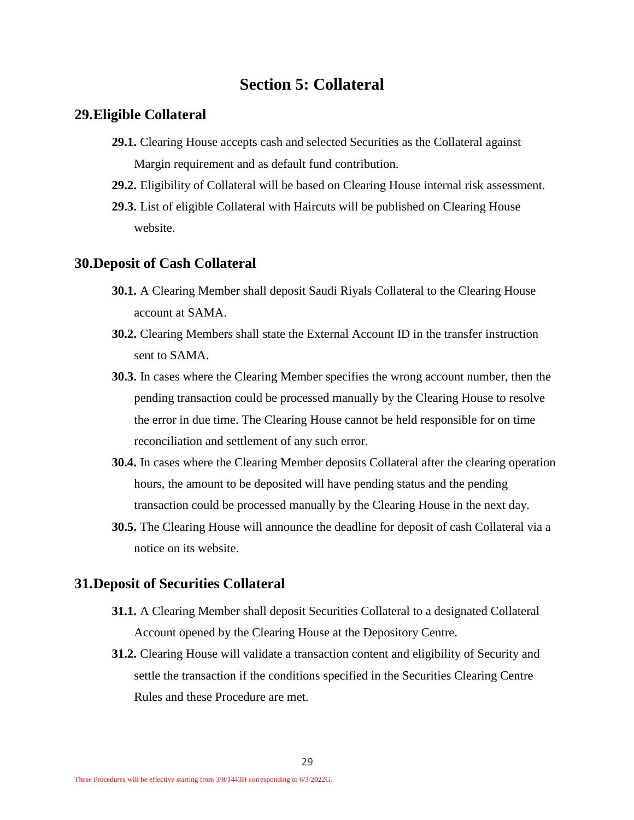## **Section 5: Collateral**

#### <span id="page-28-0"></span>**29.Eligible Collateral**

- **29.1.** Clearing House accepts cash and selected Securities as the Collateral against Margin requirement and as default fund contribution.
- **29.2.** Eligibility of Collateral will be based on Clearing House internal risk assessment.
- **29.3.** List of eligible Collateral with Haircuts will be published on Clearing House website.

#### <span id="page-28-1"></span>**30.Deposit of Cash Collateral**

- **30.1.** A Clearing Member shall deposit Saudi Riyals Collateral to the Clearing House account at SAMA.
- **30.2.** Clearing Members shall state the External Account ID in the transfer instruction sent to SAMA.
- **30.3.** In cases where the Clearing Member specifies the wrong account number, then the pending transaction could be processed manually by the Clearing House to resolve the error in due time. The Clearing House cannot be held responsible for on time reconciliation and settlement of any such error.
- **30.4.** In cases where the Clearing Member deposits Collateral after the clearing operation hours, the amount to be deposited will have pending status and the pending transaction could be processed manually by the Clearing House in the next day.
- **30.5.** The Clearing House will announce the deadline for deposit of cash Collateral via a notice on its website.

#### <span id="page-28-2"></span>**31.Deposit of Securities Collateral**

- **31.1.** A Clearing Member shall deposit Securities Collateral to a designated Collateral Account opened by the Clearing House at the Depository Centre.
- **31.2.** Clearing House will validate a transaction content and eligibility of Security and settle the transaction if the conditions specified in the Securities Clearing Centre Rules and these Procedure are met.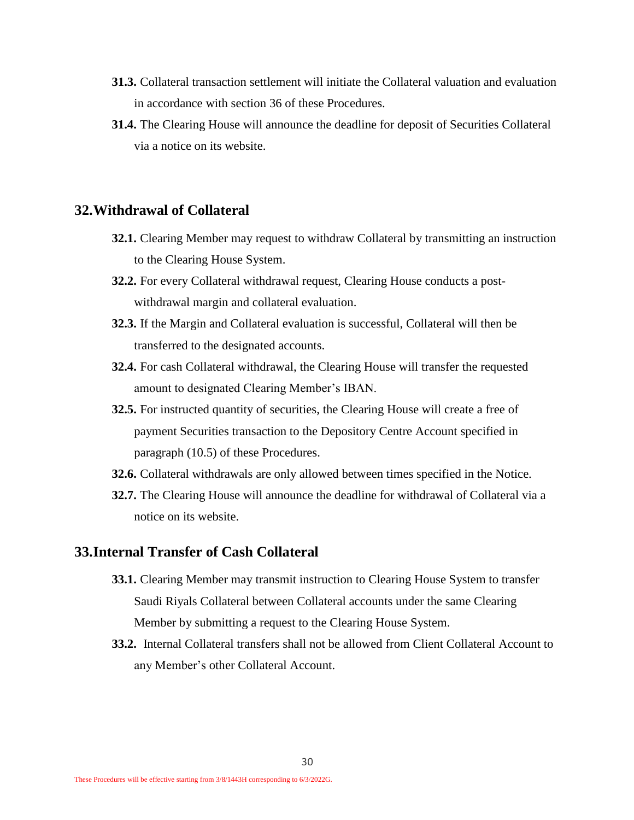- **31.3.** Collateral transaction settlement will initiate the Collateral valuation and evaluation in accordance with section [36](#page-31-0) of these Procedures.
- **31.4.** The Clearing House will announce the deadline for deposit of Securities Collateral via a notice on its website.

#### <span id="page-29-0"></span>**32.Withdrawal of Collateral**

- **32.1.** Clearing Member may request to withdraw Collateral by transmitting an instruction to the Clearing House System.
- **32.2.** For every Collateral withdrawal request, Clearing House conducts a postwithdrawal margin and collateral evaluation.
- **32.3.** If the Margin and Collateral evaluation is successful, Collateral will then be transferred to the designated accounts.
- **32.4.** For cash Collateral withdrawal, the Clearing House will transfer the requested amount to designated Clearing Member's IBAN.
- **32.5.** For instructed quantity of securities, the Clearing House will create a free of payment Securities transaction to the Depository Centre Account specified in paragraph [\(10.5\)](#page-13-2) of these Procedures.
- **32.6.** Collateral withdrawals are only allowed between times specified in the Notice.
- **32.7.** The Clearing House will announce the deadline for withdrawal of Collateral via a notice on its website.

#### <span id="page-29-1"></span>**33.Internal Transfer of Cash Collateral**

- **33.1.** Clearing Member may transmit instruction to Clearing House System to transfer Saudi Riyals Collateral between Collateral accounts under the same Clearing Member by submitting a request to the Clearing House System.
- **33.2.** Internal Collateral transfers shall not be allowed from Client Collateral Account to any Member's other Collateral Account.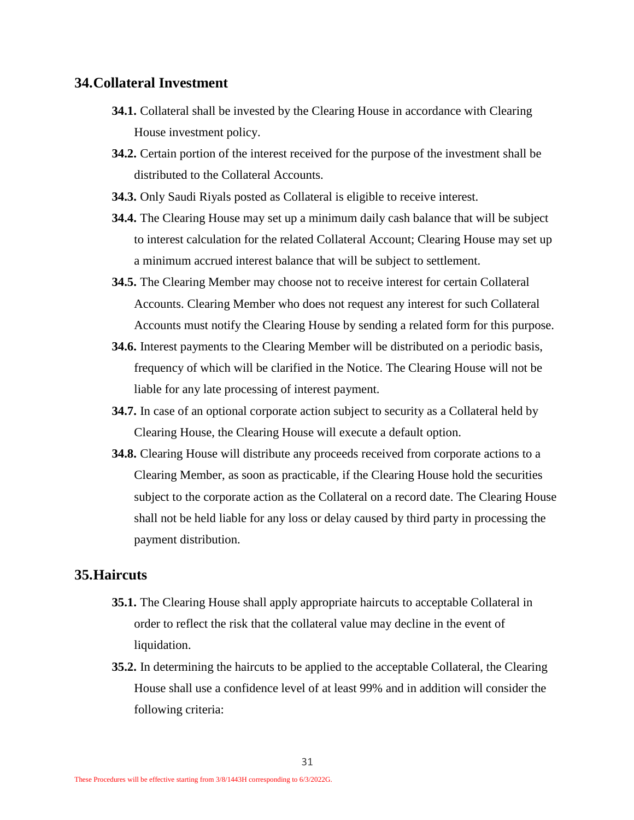#### <span id="page-30-0"></span>**34.Collateral Investment**

- **34.1.** Collateral shall be invested by the Clearing House in accordance with Clearing House investment policy.
- **34.2.** Certain portion of the interest received for the purpose of the investment shall be distributed to the Collateral Accounts.
- **34.3.** Only Saudi Riyals posted as Collateral is eligible to receive interest.
- **34.4.** The Clearing House may set up a minimum daily cash balance that will be subject to interest calculation for the related Collateral Account; Clearing House may set up a minimum accrued interest balance that will be subject to settlement.
- **34.5.** The Clearing Member may choose not to receive interest for certain Collateral Accounts. Clearing Member who does not request any interest for such Collateral Accounts must notify the Clearing House by sending a related form for this purpose.
- **34.6.** Interest payments to the Clearing Member will be distributed on a periodic basis, frequency of which will be clarified in the Notice. The Clearing House will not be liable for any late processing of interest payment.
- **34.7.** In case of an optional corporate action subject to security as a Collateral held by Clearing House, the Clearing House will execute a default option.
- **34.8.** Clearing House will distribute any proceeds received from corporate actions to a Clearing Member, as soon as practicable, if the Clearing House hold the securities subject to the corporate action as the Collateral on a record date. The Clearing House shall not be held liable for any loss or delay caused by third party in processing the payment distribution.

#### <span id="page-30-1"></span>**35.Haircuts**

- **35.1.** The Clearing House shall apply appropriate haircuts to acceptable Collateral in order to reflect the risk that the collateral value may decline in the event of liquidation.
- **35.2.** In determining the haircuts to be applied to the acceptable Collateral, the Clearing House shall use a confidence level of at least 99% and in addition will consider the following criteria: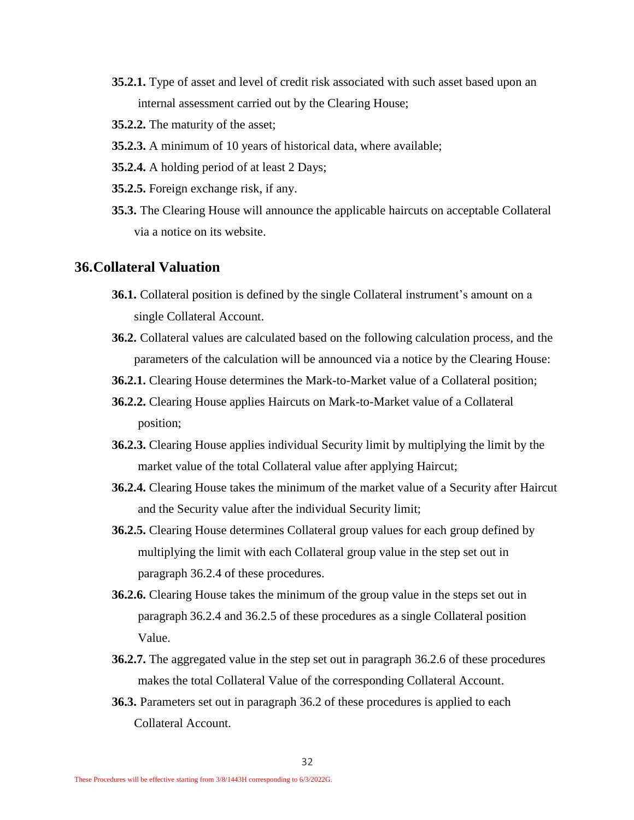- **35.2.1.** Type of asset and level of credit risk associated with such asset based upon an internal assessment carried out by the Clearing House;
- **35.2.2.** The maturity of the asset;
- **35.2.3.** A minimum of 10 years of historical data, where available;
- **35.2.4.** A holding period of at least 2 Days;
- **35.2.5.** Foreign exchange risk, if any.
- **35.3.** The Clearing House will announce the applicable haircuts on acceptable Collateral via a notice on its website.

#### <span id="page-31-0"></span>**36.Collateral Valuation**

- **36.1.** Collateral position is defined by the single Collateral instrument's amount on a single Collateral Account.
- <span id="page-31-4"></span>**36.2.** Collateral values are calculated based on the following calculation process, and the parameters of the calculation will be announced via a notice by the Clearing House:
- **36.2.1.** Clearing House determines the Mark-to-Market value of a Collateral position;
- **36.2.2.** Clearing House applies Haircuts on Mark-to-Market value of a Collateral position;
- **36.2.3.** Clearing House applies individual Security limit by multiplying the limit by the market value of the total Collateral value after applying Haircut;
- <span id="page-31-1"></span>**36.2.4.** Clearing House takes the minimum of the market value of a Security after Haircut and the Security value after the individual Security limit;
- <span id="page-31-2"></span>**36.2.5.** Clearing House determines Collateral group values for each group defined by multiplying the limit with each Collateral group value in the step set out in paragraph [36.2.4](#page-31-1) of these procedures.
- <span id="page-31-3"></span>**36.2.6.** Clearing House takes the minimum of the group value in the steps set out in paragraph [36.2.4](#page-31-1) and [36.2.5](#page-31-2) of these procedures as a single Collateral position Value.
- **36.2.7.** The aggregated value in the step set out in paragraph [36.2.6](#page-31-3) of these procedures makes the total Collateral Value of the corresponding Collateral Account.
- **36.3.** Parameters set out in paragraph [36.2](#page-31-4) of these procedures is applied to each Collateral Account.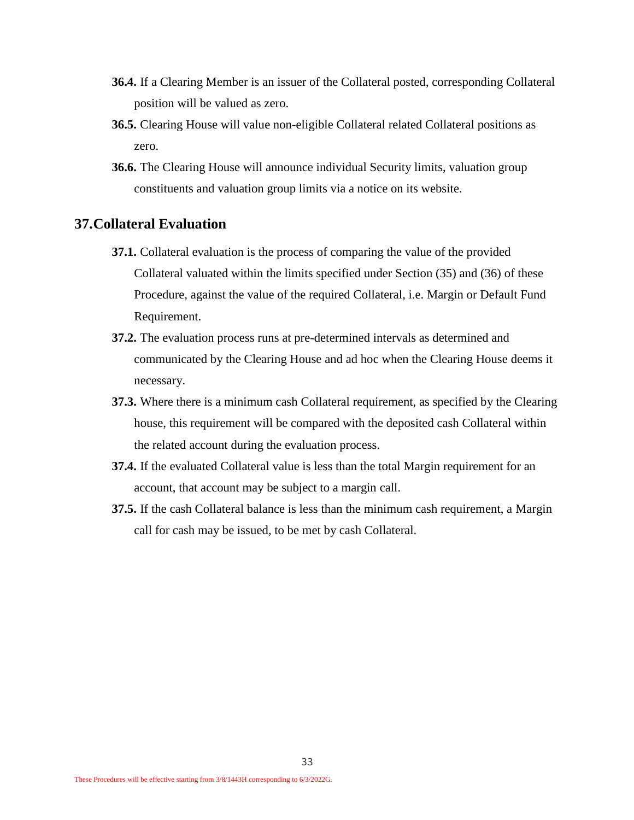- **36.4.** If a Clearing Member is an issuer of the Collateral posted, corresponding Collateral position will be valued as zero.
- **36.5.** Clearing House will value non-eligible Collateral related Collateral positions as zero.
- **36.6.** The Clearing House will announce individual Security limits, valuation group constituents and valuation group limits via a notice on its website.

#### <span id="page-32-0"></span>**37.Collateral Evaluation**

- **37.1.** Collateral evaluation is the process of comparing the value of the provided Collateral valuated within the limits specified under Section (35) and (36) of these Procedure, against the value of the required Collateral, i.e. Margin or Default Fund Requirement.
- **37.2.** The evaluation process runs at pre-determined intervals as determined and communicated by the Clearing House and ad hoc when the Clearing House deems it necessary.
- **37.3.** Where there is a minimum cash Collateral requirement, as specified by the Clearing house, this requirement will be compared with the deposited cash Collateral within the related account during the evaluation process.
- **37.4.** If the evaluated Collateral value is less than the total Margin requirement for an account, that account may be subject to a margin call.
- **37.5.** If the cash Collateral balance is less than the minimum cash requirement, a Margin call for cash may be issued, to be met by cash Collateral.